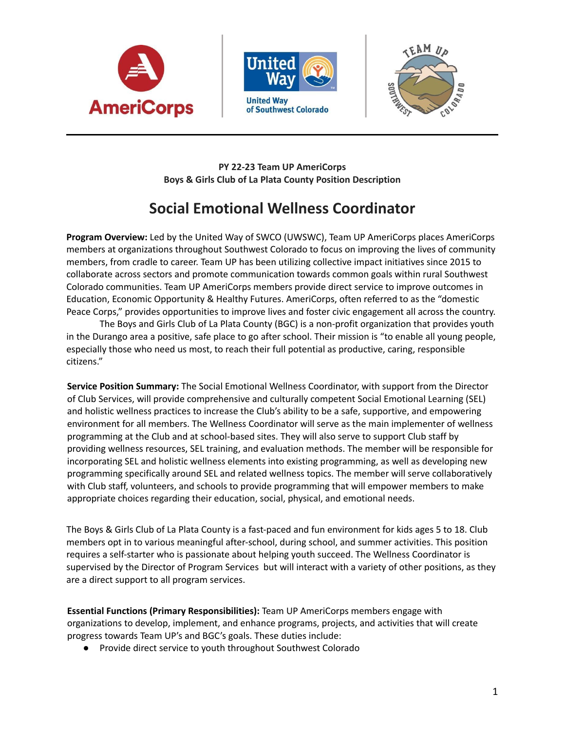





**PY 22-23 Team UP AmeriCorps Boys & Girls Club of La Plata County Position Description**

# **Social Emotional Wellness Coordinator**

**Program Overview:** Led by the United Way of SWCO (UWSWC), Team UP AmeriCorps places AmeriCorps members at organizations throughout Southwest Colorado to focus on improving the lives of community members, from cradle to career. Team UP has been utilizing collective impact initiatives since 2015 to collaborate across sectors and promote communication towards common goals within rural Southwest Colorado communities. Team UP AmeriCorps members provide direct service to improve outcomes in Education, Economic Opportunity & Healthy Futures. AmeriCorps, often referred to as the "domestic Peace Corps," provides opportunities to improve lives and foster civic engagement all across the country.

The Boys and Girls Club of La Plata County (BGC) is a non-profit organization that provides youth in the Durango area a positive, safe place to go after school. Their mission is "to enable all young people, especially those who need us most, to reach their full potential as productive, caring, responsible citizens."

**Service Position Summary:** The Social Emotional Wellness Coordinator, with support from the Director of Club Services, will provide comprehensive and culturally competent Social Emotional Learning (SEL) and holistic wellness practices to increase the Club's ability to be a safe, supportive, and empowering environment for all members. The Wellness Coordinator will serve as the main implementer of wellness programming at the Club and at school-based sites. They will also serve to support Club staff by providing wellness resources, SEL training, and evaluation methods. The member will be responsible for incorporating SEL and holistic wellness elements into existing programming, as well as developing new programming specifically around SEL and related wellness topics. The member will serve collaboratively with Club staff, volunteers, and schools to provide programming that will empower members to make appropriate choices regarding their education, social, physical, and emotional needs.

The Boys & Girls Club of La Plata County is a fast-paced and fun environment for kids ages 5 to 18. Club members opt in to various meaningful after-school, during school, and summer activities. This position requires a self-starter who is passionate about helping youth succeed. The Wellness Coordinator is supervised by the Director of Program Services but will interact with a variety of other positions, as they are a direct support to all program services.

**Essential Functions (Primary Responsibilities):** Team UP AmeriCorps members engage with organizations to develop, implement, and enhance programs, projects, and activities that will create progress towards Team UP's and BGC's goals. These duties include:

● Provide direct service to youth throughout Southwest Colorado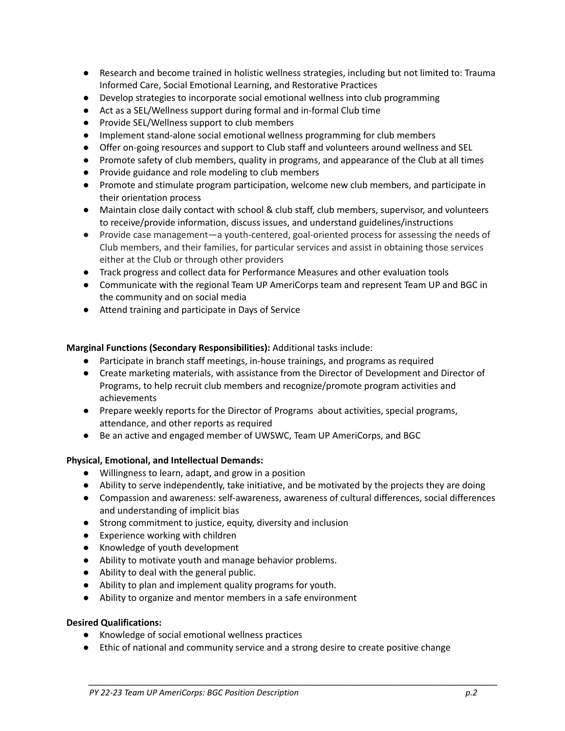- Research and become trained in holistic wellness strategies, including but not limited to: Trauma Informed Care, Social Emotional Learning, and Restorative Practices
- Develop strategies to incorporate social emotional wellness into club programming
- Act as a SEL/Wellness support during formal and in-formal Club time
- Provide SEL/Wellness support to club members
- Implement stand-alone social emotional wellness programming for club members
- Offer on-going resources and support to Club staff and volunteers around wellness and SEL
- Promote safety of club members, quality in programs, and appearance of the Club at all times
- Provide guidance and role modeling to club members
- Promote and stimulate program participation, welcome new club members, and participate in their orientation process
- Maintain close daily contact with school & club staff, club members, supervisor, and volunteers to receive/provide information, discuss issues, and understand guidelines/instructions
- Provide case management—a youth-centered, goal-oriented process for assessing the needs of Club members, and their families, for particular services and assist in obtaining those services either at the Club or through other providers
- Track progress and collect data for Performance Measures and other evaluation tools
- Communicate with the regional Team UP AmeriCorps team and represent Team UP and BGC in the community and on social media
- Attend training and participate in Days of Service

# **Marginal Functions (Secondary Responsibilities):** Additional tasks include:

- Participate in branch staff meetings, in-house trainings, and programs as required
- Create marketing materials, with assistance from the Director of Development and Director of Programs, to help recruit club members and recognize/promote program activities and achievements
- Prepare weekly reports for the Director of Programs about activities, special programs, attendance, and other reports as required
- Be an active and engaged member of UWSWC, Team UP AmeriCorps, and BGC

# **Physical, Emotional, and Intellectual Demands:**

- **●** Willingness to learn, adapt, and grow in a position
- **●** Ability to serve independently, take initiative, and be motivated by the projects they are doing
- **●** Compassion and awareness: self-awareness, awareness of cultural differences, social differences and understanding of implicit bias
- Strong commitment to justice, equity, diversity and inclusion
- Experience working with children
- Knowledge of youth development
- Ability to motivate youth and manage behavior problems.
- Ability to deal with the general public.
- Ability to plan and implement quality programs for youth.
- Ability to organize and mentor members in a safe environment

### **Desired Qualifications:**

- **●** Knowledge of social emotional wellness practices
- **●** Ethic of national and community service and a strong desire to create positive change

*\_\_\_\_\_\_\_\_\_\_\_\_\_\_\_\_\_\_\_\_\_\_\_\_\_\_\_\_\_\_\_\_\_\_\_\_\_\_\_\_\_\_\_\_\_\_\_\_\_\_\_\_\_\_\_\_\_\_\_\_\_\_\_\_\_\_\_\_\_\_\_\_\_\_\_\_\_\_\_\_\_*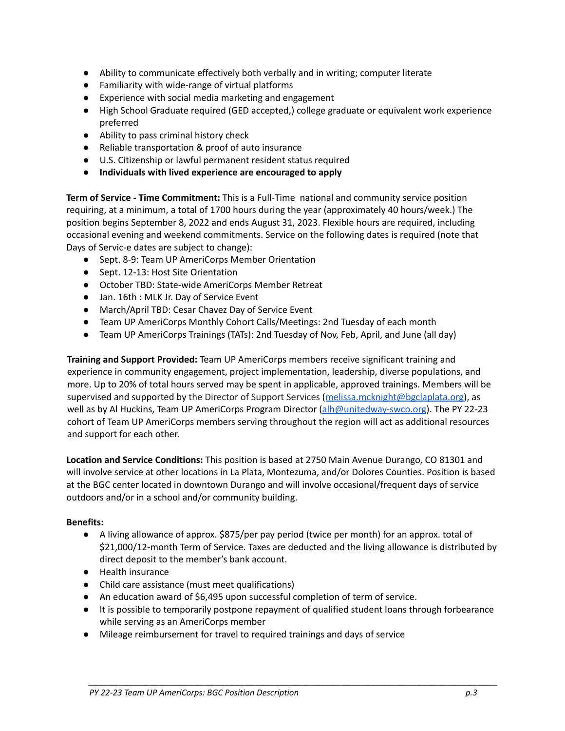- **●** Ability to communicate effectively both verbally and in writing; computer literate
- Familiarity with wide-range of virtual platforms
- Experience with social media marketing and engagement
- High School Graduate required (GED accepted,) college graduate or equivalent work experience preferred
- **●** Ability to pass criminal history check
- **●** Reliable transportation & proof of auto insurance
- U.S. Citizenship or lawful permanent resident status required
- **● Individuals with lived experience are encouraged to apply**

**Term of Service - Time Commitment:** This is a Full-Time national and community service position requiring, at a minimum, a total of 1700 hours during the year (approximately 40 hours/week.) The position begins September 8, 2022 and ends August 31, 2023. Flexible hours are required, including occasional evening and weekend commitments. Service on the following dates is required (note that Days of Servic-e dates are subject to change):

- Sept. 8-9: Team UP AmeriCorps Member Orientation
- Sept. 12-13: Host Site Orientation
- October TBD: State-wide AmeriCorps Member Retreat
- Jan. 16th : MLK Jr. Day of Service Event
- March/April TBD: Cesar Chavez Day of Service Event
- Team UP AmeriCorps Monthly Cohort Calls/Meetings: 2nd Tuesday of each month
- Team UP AmeriCorps Trainings (TATs): 2nd Tuesday of Nov, Feb, April, and June (all day)

**Training and Support Provided:** Team UP AmeriCorps members receive significant training and experience in community engagement, project implementation, leadership, diverse populations, and more. Up to 20% of total hours served may be spent in applicable, approved trainings. Members will be supervised and supported by the Director of Support Services ([melissa.mcknight@bgclaplata.org\)](mailto:melissa.mcknight@bgclaplata.org), as well as by Al Huckins, Team UP AmeriCorps Program Director (alh@unitedway-swco.org). The PY 22-23 cohort of Team UP AmeriCorps members serving throughout the region will act as additional resources and support for each other.

**Location and Service Conditions:** This position is based at 2750 Main Avenue Durango, CO 81301 and will involve service at other locations in La Plata, Montezuma, and/or Dolores Counties. Position is based at the BGC center located in downtown Durango and will involve occasional/frequent days of service outdoors and/or in a school and/or community building.

### **Benefits:**

- A living allowance of approx. \$875/per pay period (twice per month) for an approx. total of \$21,000/12-month Term of Service. Taxes are deducted and the living allowance is distributed by direct deposit to the member's bank account.
- Health insurance
- Child care assistance (must meet qualifications)
- An education award of \$6,495 upon successful completion of term of service.
- It is possible to temporarily postpone repayment of qualified student loans through forbearance while serving as an AmeriCorps member

*\_\_\_\_\_\_\_\_\_\_\_\_\_\_\_\_\_\_\_\_\_\_\_\_\_\_\_\_\_\_\_\_\_\_\_\_\_\_\_\_\_\_\_\_\_\_\_\_\_\_\_\_\_\_\_\_\_\_\_\_\_\_\_\_\_\_\_\_\_\_\_\_\_\_\_\_\_\_\_\_\_*

● Mileage reimbursement for travel to required trainings and days of service